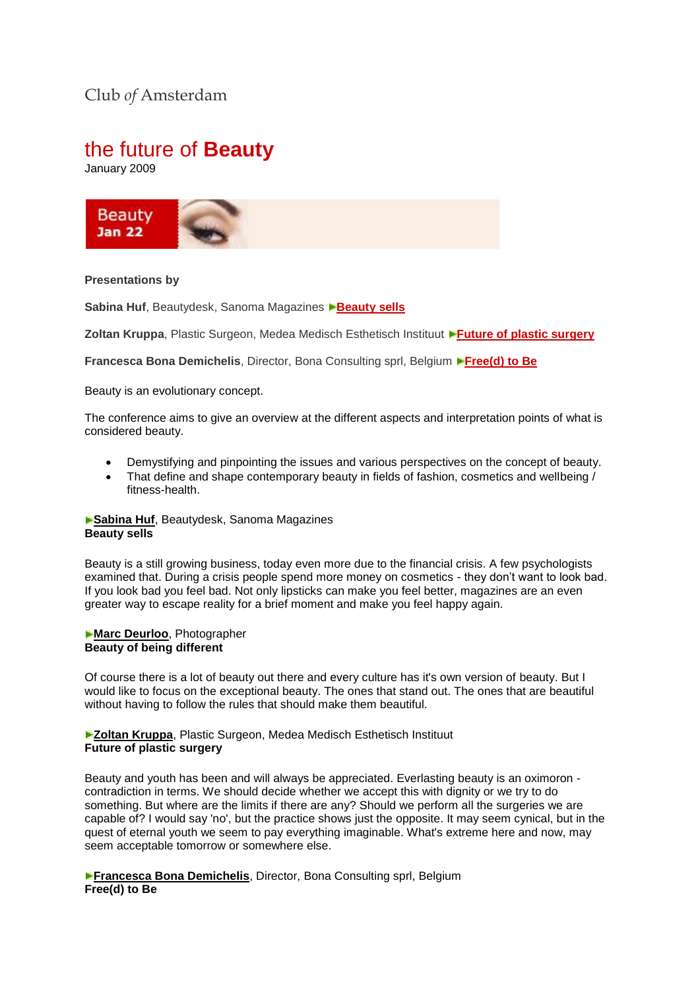## Club *of* Amsterdam

# the future of **Beauty**

January 2009



#### **Presentations by**

**Sabina Huf**, Beautydesk, Sanoma Magazines **[Beauty sells](http://www.clubofamsterdam.com/contentarticles/52%20Beauty/Sabina%20Huf%20Club%20of%20Amsterdam.ppt)** 

**Zoltan Kruppa**, Plastic Surgeon, Medea Medisch Esthetisch Instituut **[Future of plastic surgery](http://www.clubofamsterdam.com/contentarticles/52%20Beauty/Zoltan%20Kruppa%20Club%20of%20Amsterdam.ppt)** 

**Francesca Bona Demichelis**, Director, Bona Consulting sprl, Belgium **[Free\(d\) to Be](http://www.clubofamsterdam.com/contentarticles/52%20Beauty/Francesca%20Bona%20Club%20of%20Amsterdam.pdf)**

Beauty is an evolutionary concept.

The conference aims to give an overview at the different aspects and interpretation points of what is considered beauty.

- Demystifying and pinpointing the issues and various perspectives on the concept of beauty.
- That define and shape contemporary beauty in fields of fashion, cosmetics and wellbeing / fitness-health.

**Sabina Huf**, Beautydesk, Sanoma Magazines **Beauty sells**

Beauty is a still growing business, today even more due to the financial crisis. A few psychologists examined that. During a crisis people spend more money on cosmetics - they don't want to look bad. If you look bad you feel bad. Not only lipsticks can make you feel better, magazines are an even greater way to escape reality for a brief moment and make you feel happy again.

#### **Marc Deurloo**, Photographer **Beauty of being different**

Of course there is a lot of beauty out there and every culture has it's own version of beauty. But I would like to focus on the exceptional beauty. The ones that stand out. The ones that are beautiful without having to follow the rules that should make them beautiful.

#### **Zoltan Kruppa**, Plastic Surgeon, Medea Medisch Esthetisch Instituut **Future of plastic surgery**

Beauty and youth has been and will always be appreciated. Everlasting beauty is an oximoron contradiction in terms. We should decide whether we accept this with dignity or we try to do something. But where are the limits if there are any? Should we perform all the surgeries we are capable of? I would say 'no', but the practice shows just the opposite. It may seem cynical, but in the quest of eternal youth we seem to pay everything imaginable. What's extreme here and now, may seem acceptable tomorrow or somewhere else.

**Francesca Bona Demichelis**, Director, Bona Consulting sprl, Belgium **Free(d) to Be**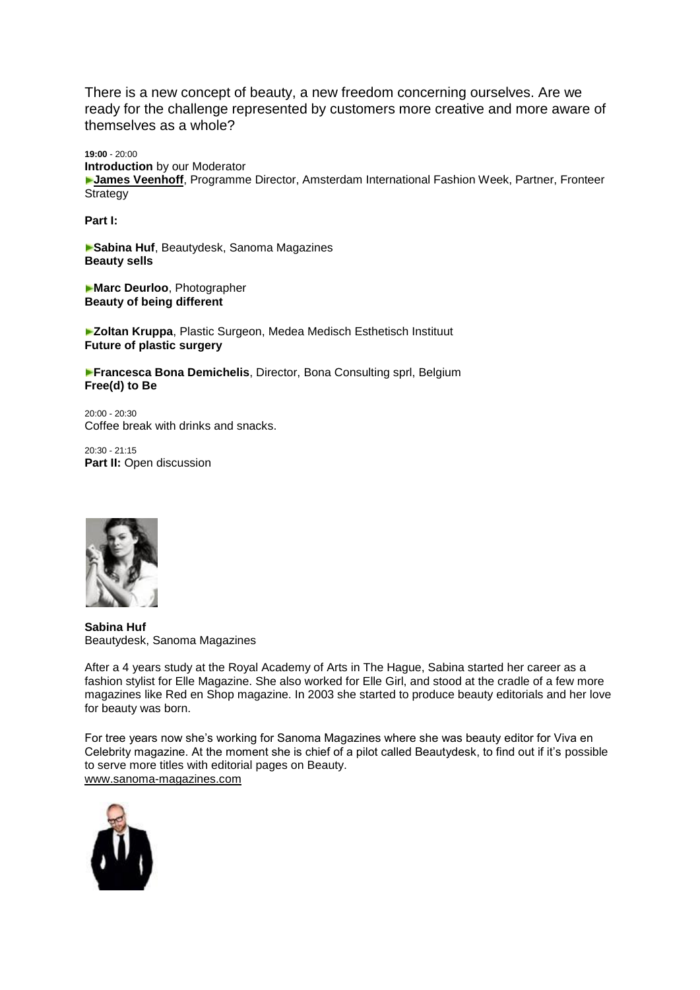There is a new concept of beauty, a new freedom concerning ourselves. Are we ready for the challenge represented by customers more creative and more aware of themselves as a whole?

**19:00** - 20:00 **Introduction** by our Moderator **[James Veenhoff](http://www.clubofamsterdam.com/event.asp?contentid=783#moderator)**, Programme Director, Amsterdam International Fashion Week, Partner, Fronteer **Strategy** 

**Part I:**

**Sabina Huf**, Beautydesk, Sanoma Magazines **Beauty sells** 

**Marc Deurloo**, Photographer **Beauty of being different**

**Zoltan Kruppa**, Plastic Surgeon, Medea Medisch Esthetisch Instituut **Future of plastic surgery**

**Francesca Bona Demichelis**, Director, Bona Consulting sprl, Belgium **Free(d) to Be**

20:00 - 20:30 Coffee break with drinks and snacks.

20:30 - 21:15 **Part II:** Open discussion



**Sabina Huf** Beautydesk, Sanoma Magazines

After a 4 years study at the Royal Academy of Arts in The Hague, Sabina started her career as a fashion stylist for Elle Magazine. She also worked for Elle Girl, and stood at the cradle of a few more magazines like Red en Shop magazine. In 2003 she started to produce beauty editorials and her love for beauty was born.

For tree years now she's working for Sanoma Magazines where she was beauty editor for Viva en Celebrity magazine. At the moment she is chief of a pilot called Beautydesk, to find out if it's possible to serve more titles with editorial pages on Beauty. [www.sanoma-magazines.com](http://www.sanoma-magazines.com/)

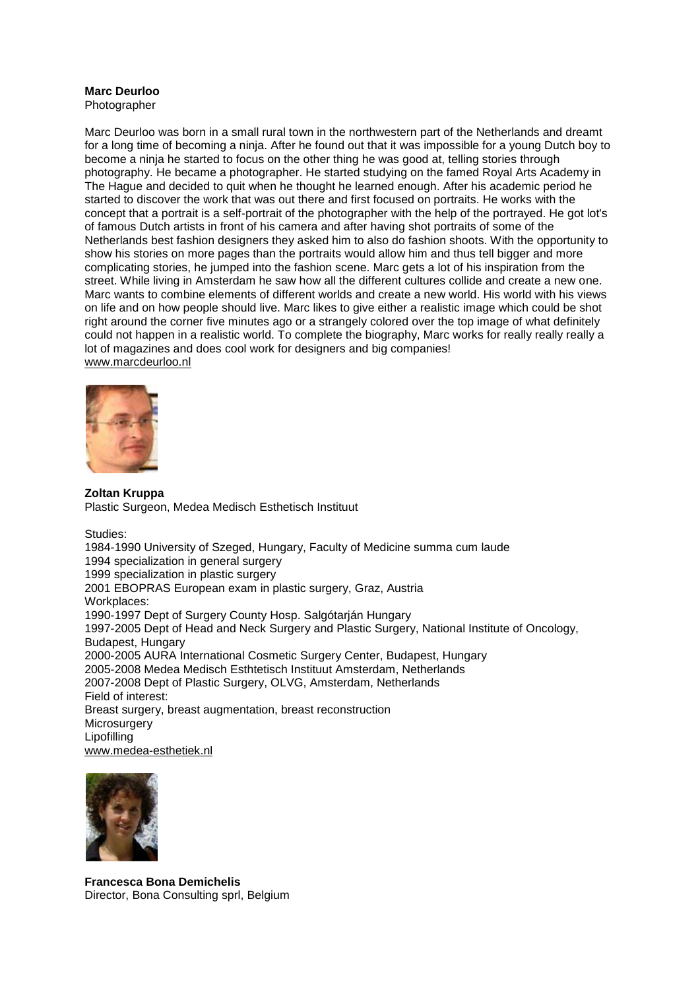### **Marc Deurloo**

Photographer

Marc Deurloo was born in a small rural town in the northwestern part of the Netherlands and dreamt for a long time of becoming a ninja. After he found out that it was impossible for a young Dutch boy to become a ninja he started to focus on the other thing he was good at, telling stories through photography. He became a photographer. He started studying on the famed Royal Arts Academy in The Hague and decided to quit when he thought he learned enough. After his academic period he started to discover the work that was out there and first focused on portraits. He works with the concept that a portrait is a self-portrait of the photographer with the help of the portrayed. He got lot's of famous Dutch artists in front of his camera and after having shot portraits of some of the Netherlands best fashion designers they asked him to also do fashion shoots. With the opportunity to show his stories on more pages than the portraits would allow him and thus tell bigger and more complicating stories, he jumped into the fashion scene. Marc gets a lot of his inspiration from the street. While living in Amsterdam he saw how all the different cultures collide and create a new one. Marc wants to combine elements of different worlds and create a new world. His world with his views on life and on how people should live. Marc likes to give either a realistic image which could be shot right around the corner five minutes ago or a strangely colored over the top image of what definitely could not happen in a realistic world. To complete the biography, Marc works for really really really a lot of magazines and does cool work for designers and big companies! [www.marcdeurloo.nl](http://www.marcdeurloo.nl/)



**Zoltan Kruppa** Plastic Surgeon, Medea Medisch Esthetisch Instituut

Studies:

1984-1990 University of Szeged, Hungary, Faculty of Medicine summa cum laude 1994 specialization in general surgery 1999 specialization in plastic surgery 2001 EBOPRAS European exam in plastic surgery, Graz, Austria Workplaces: 1990-1997 Dept of Surgery County Hosp. Salgótarján Hungary 1997-2005 Dept of Head and Neck Surgery and Plastic Surgery, National Institute of Oncology, Budapest, Hungary 2000-2005 AURA International Cosmetic Surgery Center, Budapest, Hungary 2005-2008 Medea Medisch Esthtetisch Instituut Amsterdam, Netherlands 2007-2008 Dept of Plastic Surgery, OLVG, Amsterdam, Netherlands Field of interest: Breast surgery, breast augmentation, breast reconstruction **Microsurgery** Lipofilling [www.medea-esthetiek.nl](http://www.medea-esthetiek.nl/)



**Francesca Bona Demichelis** Director, Bona Consulting sprl, Belgium